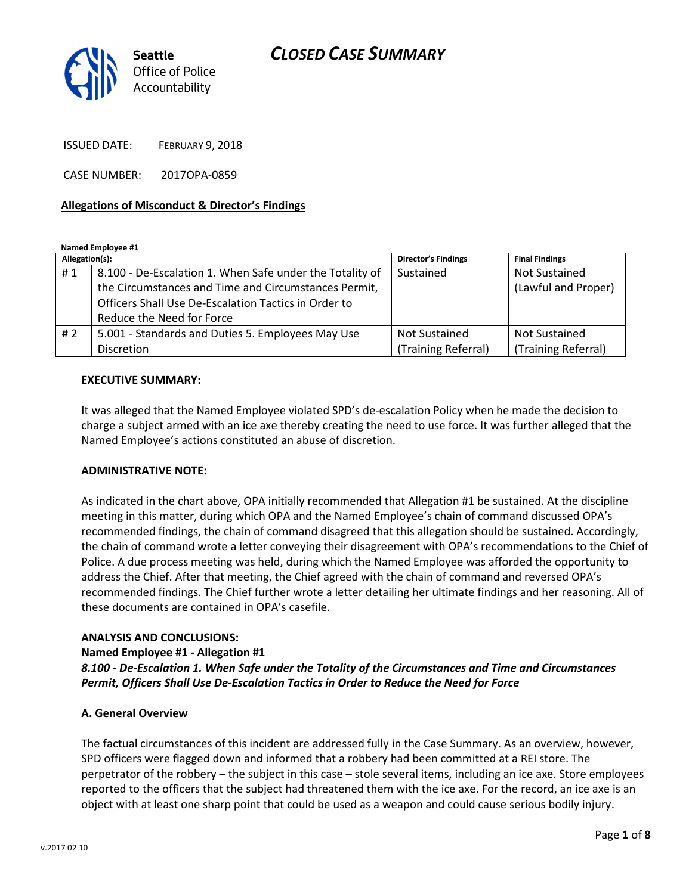# CLOSED CASE SUMMARY



ISSUED DATE: FEBRUARY 9, 2018

CASE NUMBER: 2017OPA-0859

### Allegations of Misconduct & Director's Findings

#### Named Employee #1

| Allegation(s): |                                                          | <b>Director's Findings</b> | <b>Final Findings</b> |
|----------------|----------------------------------------------------------|----------------------------|-----------------------|
| #1             | 8.100 - De-Escalation 1. When Safe under the Totality of | Sustained                  | <b>Not Sustained</b>  |
|                | the Circumstances and Time and Circumstances Permit,     |                            | (Lawful and Proper)   |
|                | Officers Shall Use De-Escalation Tactics in Order to     |                            |                       |
|                | Reduce the Need for Force                                |                            |                       |
| #2             | 5.001 - Standards and Duties 5. Employees May Use        | Not Sustained              | <b>Not Sustained</b>  |
|                | <b>Discretion</b>                                        | (Training Referral)        | (Training Referral)   |

#### EXECUTIVE SUMMARY:

It was alleged that the Named Employee violated SPD's de-escalation Policy when he made the decision to charge a subject armed with an ice axe thereby creating the need to use force. It was further alleged that the Named Employee's actions constituted an abuse of discretion.

#### ADMINISTRATIVE NOTE:

As indicated in the chart above, OPA initially recommended that Allegation #1 be sustained. At the discipline meeting in this matter, during which OPA and the Named Employee's chain of command discussed OPA's recommended findings, the chain of command disagreed that this allegation should be sustained. Accordingly, the chain of command wrote a letter conveying their disagreement with OPA's recommendations to the Chief of Police. A due process meeting was held, during which the Named Employee was afforded the opportunity to address the Chief. After that meeting, the Chief agreed with the chain of command and reversed OPA's recommended findings. The Chief further wrote a letter detailing her ultimate findings and her reasoning. All of these documents are contained in OPA's casefile.

#### ANALYSIS AND CONCLUSIONS:

#### Named Employee #1 - Allegation #1

8.100 - De-Escalation 1. When Safe under the Totality of the Circumstances and Time and Circumstances Permit, Officers Shall Use De-Escalation Tactics in Order to Reduce the Need for Force

#### A. General Overview

The factual circumstances of this incident are addressed fully in the Case Summary. As an overview, however, SPD officers were flagged down and informed that a robbery had been committed at a REI store. The perpetrator of the robbery – the subject in this case – stole several items, including an ice axe. Store employees reported to the officers that the subject had threatened them with the ice axe. For the record, an ice axe is an object with at least one sharp point that could be used as a weapon and could cause serious bodily injury.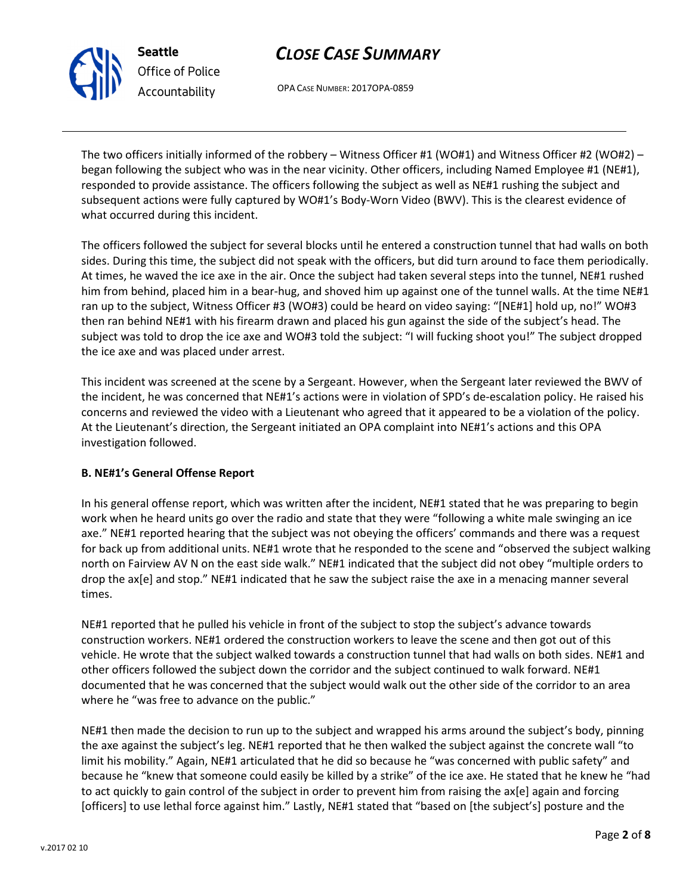



Office of Police Accountability

OPA CASE NUMBER: 2017OPA-0859

The two officers initially informed of the robbery – Witness Officer #1 (WO#1) and Witness Officer #2 (WO#2) – began following the subject who was in the near vicinity. Other officers, including Named Employee #1 (NE#1), responded to provide assistance. The officers following the subject as well as NE#1 rushing the subject and subsequent actions were fully captured by WO#1's Body-Worn Video (BWV). This is the clearest evidence of what occurred during this incident.

The officers followed the subject for several blocks until he entered a construction tunnel that had walls on both sides. During this time, the subject did not speak with the officers, but did turn around to face them periodically. At times, he waved the ice axe in the air. Once the subject had taken several steps into the tunnel, NE#1 rushed him from behind, placed him in a bear-hug, and shoved him up against one of the tunnel walls. At the time NE#1 ran up to the subject, Witness Officer #3 (WO#3) could be heard on video saying: "[NE#1] hold up, no!" WO#3 then ran behind NE#1 with his firearm drawn and placed his gun against the side of the subject's head. The subject was told to drop the ice axe and WO#3 told the subject: "I will fucking shoot you!" The subject dropped the ice axe and was placed under arrest.

This incident was screened at the scene by a Sergeant. However, when the Sergeant later reviewed the BWV of the incident, he was concerned that NE#1's actions were in violation of SPD's de-escalation policy. He raised his concerns and reviewed the video with a Lieutenant who agreed that it appeared to be a violation of the policy. At the Lieutenant's direction, the Sergeant initiated an OPA complaint into NE#1's actions and this OPA investigation followed.

## B. NE#1's General Offense Report

In his general offense report, which was written after the incident, NE#1 stated that he was preparing to begin work when he heard units go over the radio and state that they were "following a white male swinging an ice axe." NE#1 reported hearing that the subject was not obeying the officers' commands and there was a request for back up from additional units. NE#1 wrote that he responded to the scene and "observed the subject walking north on Fairview AV N on the east side walk." NE#1 indicated that the subject did not obey "multiple orders to drop the ax[e] and stop." NE#1 indicated that he saw the subject raise the axe in a menacing manner several times.

NE#1 reported that he pulled his vehicle in front of the subject to stop the subject's advance towards construction workers. NE#1 ordered the construction workers to leave the scene and then got out of this vehicle. He wrote that the subject walked towards a construction tunnel that had walls on both sides. NE#1 and other officers followed the subject down the corridor and the subject continued to walk forward. NE#1 documented that he was concerned that the subject would walk out the other side of the corridor to an area where he "was free to advance on the public."

NE#1 then made the decision to run up to the subject and wrapped his arms around the subject's body, pinning the axe against the subject's leg. NE#1 reported that he then walked the subject against the concrete wall "to limit his mobility." Again, NE#1 articulated that he did so because he "was concerned with public safety" and because he "knew that someone could easily be killed by a strike" of the ice axe. He stated that he knew he "had to act quickly to gain control of the subject in order to prevent him from raising the ax[e] again and forcing [officers] to use lethal force against him." Lastly, NE#1 stated that "based on [the subject's] posture and the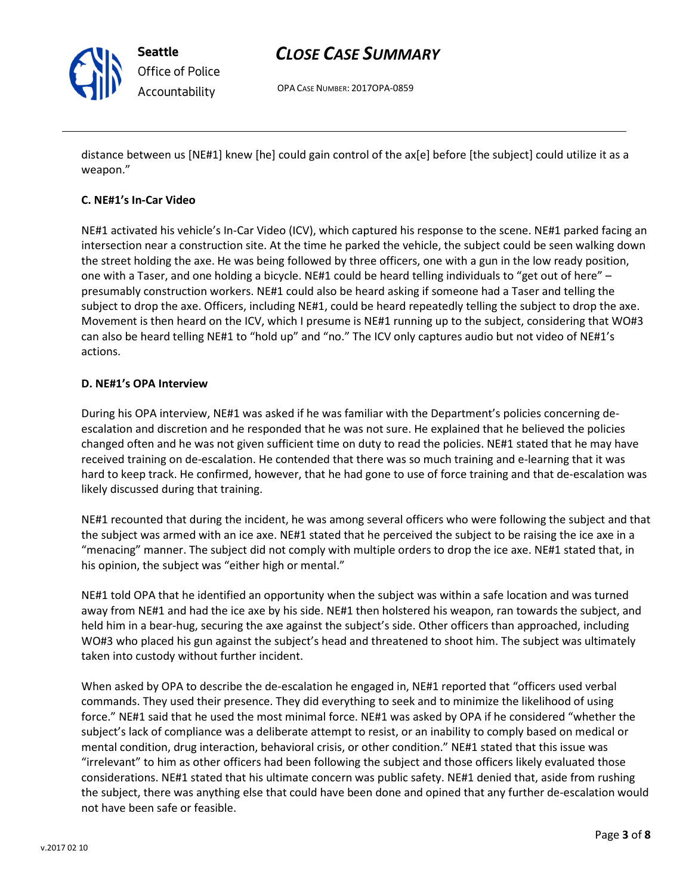

Seattle Office of Police Accountability

## CLOSE CASE SUMMARY

OPA CASE NUMBER: 2017OPA-0859

distance between us [NE#1] knew [he] could gain control of the ax[e] before [the subject] could utilize it as a weapon."

## C. NE#1's In-Car Video

NE#1 activated his vehicle's In-Car Video (ICV), which captured his response to the scene. NE#1 parked facing an intersection near a construction site. At the time he parked the vehicle, the subject could be seen walking down the street holding the axe. He was being followed by three officers, one with a gun in the low ready position, one with a Taser, and one holding a bicycle. NE#1 could be heard telling individuals to "get out of here" – presumably construction workers. NE#1 could also be heard asking if someone had a Taser and telling the subject to drop the axe. Officers, including NE#1, could be heard repeatedly telling the subject to drop the axe. Movement is then heard on the ICV, which I presume is NE#1 running up to the subject, considering that WO#3 can also be heard telling NE#1 to "hold up" and "no." The ICV only captures audio but not video of NE#1's actions.

### D. NE#1's OPA Interview

During his OPA interview, NE#1 was asked if he was familiar with the Department's policies concerning deescalation and discretion and he responded that he was not sure. He explained that he believed the policies changed often and he was not given sufficient time on duty to read the policies. NE#1 stated that he may have received training on de-escalation. He contended that there was so much training and e-learning that it was hard to keep track. He confirmed, however, that he had gone to use of force training and that de-escalation was likely discussed during that training.

NE#1 recounted that during the incident, he was among several officers who were following the subject and that the subject was armed with an ice axe. NE#1 stated that he perceived the subject to be raising the ice axe in a "menacing" manner. The subject did not comply with multiple orders to drop the ice axe. NE#1 stated that, in his opinion, the subject was "either high or mental."

NE#1 told OPA that he identified an opportunity when the subject was within a safe location and was turned away from NE#1 and had the ice axe by his side. NE#1 then holstered his weapon, ran towards the subject, and held him in a bear-hug, securing the axe against the subject's side. Other officers than approached, including WO#3 who placed his gun against the subject's head and threatened to shoot him. The subject was ultimately taken into custody without further incident.

When asked by OPA to describe the de-escalation he engaged in, NE#1 reported that "officers used verbal commands. They used their presence. They did everything to seek and to minimize the likelihood of using force." NE#1 said that he used the most minimal force. NE#1 was asked by OPA if he considered "whether the subject's lack of compliance was a deliberate attempt to resist, or an inability to comply based on medical or mental condition, drug interaction, behavioral crisis, or other condition." NE#1 stated that this issue was "irrelevant" to him as other officers had been following the subject and those officers likely evaluated those considerations. NE#1 stated that his ultimate concern was public safety. NE#1 denied that, aside from rushing the subject, there was anything else that could have been done and opined that any further de-escalation would not have been safe or feasible.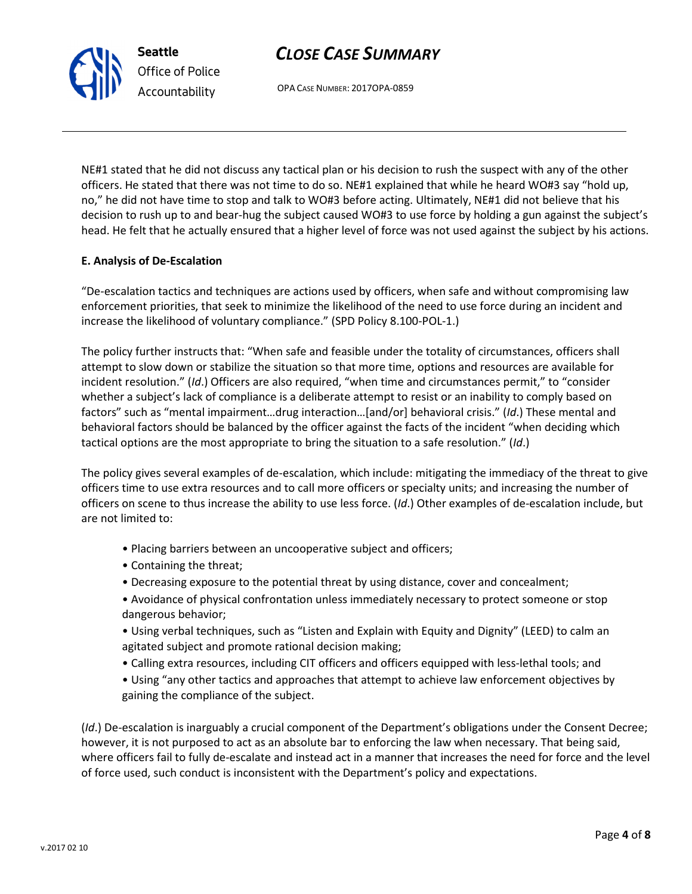# CLOSE CASE SUMMARY

OPA CASE NUMBER: 2017OPA-0859

NE#1 stated that he did not discuss any tactical plan or his decision to rush the suspect with any of the other officers. He stated that there was not time to do so. NE#1 explained that while he heard WO#3 say "hold up, no," he did not have time to stop and talk to WO#3 before acting. Ultimately, NE#1 did not believe that his decision to rush up to and bear-hug the subject caused WO#3 to use force by holding a gun against the subject's head. He felt that he actually ensured that a higher level of force was not used against the subject by his actions.

### E. Analysis of De-Escalation

Seattle

Office of Police Accountability

"De-escalation tactics and techniques are actions used by officers, when safe and without compromising law enforcement priorities, that seek to minimize the likelihood of the need to use force during an incident and increase the likelihood of voluntary compliance." (SPD Policy 8.100-POL-1.)

The policy further instructs that: "When safe and feasible under the totality of circumstances, officers shall attempt to slow down or stabilize the situation so that more time, options and resources are available for incident resolution." (Id.) Officers are also required, "when time and circumstances permit," to "consider whether a subject's lack of compliance is a deliberate attempt to resist or an inability to comply based on factors" such as "mental impairment…drug interaction…[and/or] behavioral crisis." (Id.) These mental and behavioral factors should be balanced by the officer against the facts of the incident "when deciding which tactical options are the most appropriate to bring the situation to a safe resolution." (Id.)

The policy gives several examples of de-escalation, which include: mitigating the immediacy of the threat to give officers time to use extra resources and to call more officers or specialty units; and increasing the number of officers on scene to thus increase the ability to use less force. (Id.) Other examples of de-escalation include, but are not limited to:

- Placing barriers between an uncooperative subject and officers;
- Containing the threat;
- Decreasing exposure to the potential threat by using distance, cover and concealment;
- Avoidance of physical confrontation unless immediately necessary to protect someone or stop dangerous behavior;
- Using verbal techniques, such as "Listen and Explain with Equity and Dignity" (LEED) to calm an agitated subject and promote rational decision making;
- Calling extra resources, including CIT officers and officers equipped with less-lethal tools; and
- Using "any other tactics and approaches that attempt to achieve law enforcement objectives by gaining the compliance of the subject.

(Id.) De-escalation is inarguably a crucial component of the Department's obligations under the Consent Decree; however, it is not purposed to act as an absolute bar to enforcing the law when necessary. That being said, where officers fail to fully de-escalate and instead act in a manner that increases the need for force and the level of force used, such conduct is inconsistent with the Department's policy and expectations.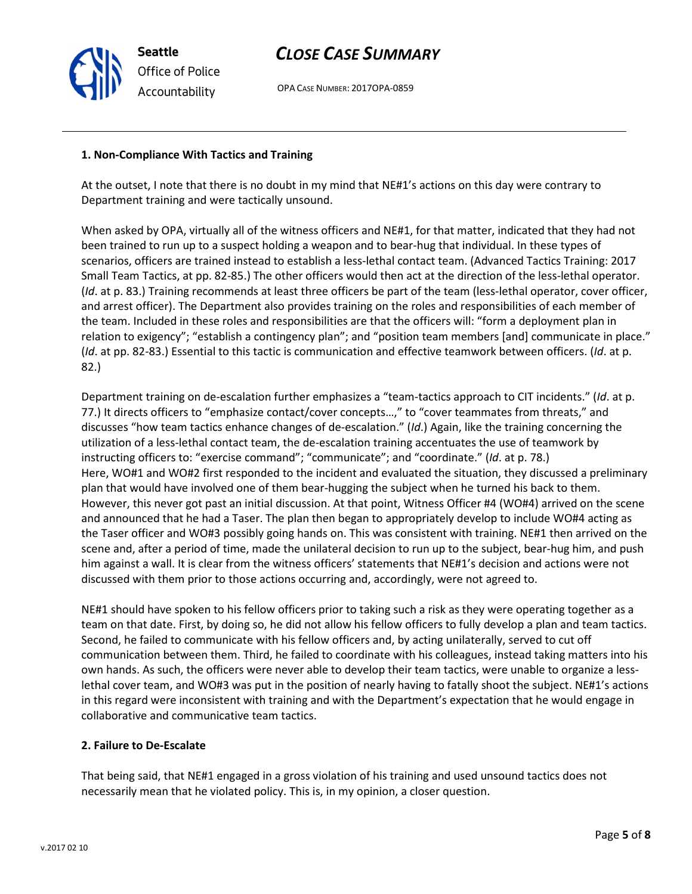## CLOSE CASE SUMMARY

OPA CASE NUMBER: 2017OPA-0859

#### 1. Non-Compliance With Tactics and Training

Seattle

Office of Police Accountability

At the outset, I note that there is no doubt in my mind that NE#1's actions on this day were contrary to Department training and were tactically unsound.

When asked by OPA, virtually all of the witness officers and NE#1, for that matter, indicated that they had not been trained to run up to a suspect holding a weapon and to bear-hug that individual. In these types of scenarios, officers are trained instead to establish a less-lethal contact team. (Advanced Tactics Training: 2017 Small Team Tactics, at pp. 82-85.) The other officers would then act at the direction of the less-lethal operator. (Id. at p. 83.) Training recommends at least three officers be part of the team (less-lethal operator, cover officer, and arrest officer). The Department also provides training on the roles and responsibilities of each member of the team. Included in these roles and responsibilities are that the officers will: "form a deployment plan in relation to exigency"; "establish a contingency plan"; and "position team members [and] communicate in place." (Id. at pp. 82-83.) Essential to this tactic is communication and effective teamwork between officers. (Id. at p. 82.)

Department training on de-escalation further emphasizes a "team-tactics approach to CIT incidents." (Id. at p. 77.) It directs officers to "emphasize contact/cover concepts...," to "cover teammates from threats," and discusses "how team tactics enhance changes of de-escalation." (Id.) Again, like the training concerning the utilization of a less-lethal contact team, the de-escalation training accentuates the use of teamwork by instructing officers to: "exercise command"; "communicate"; and "coordinate." (Id. at p. 78.) Here, WO#1 and WO#2 first responded to the incident and evaluated the situation, they discussed a preliminary plan that would have involved one of them bear-hugging the subject when he turned his back to them. However, this never got past an initial discussion. At that point, Witness Officer #4 (WO#4) arrived on the scene and announced that he had a Taser. The plan then began to appropriately develop to include WO#4 acting as the Taser officer and WO#3 possibly going hands on. This was consistent with training. NE#1 then arrived on the scene and, after a period of time, made the unilateral decision to run up to the subject, bear-hug him, and push him against a wall. It is clear from the witness officers' statements that NE#1's decision and actions were not discussed with them prior to those actions occurring and, accordingly, were not agreed to.

NE#1 should have spoken to his fellow officers prior to taking such a risk as they were operating together as a team on that date. First, by doing so, he did not allow his fellow officers to fully develop a plan and team tactics. Second, he failed to communicate with his fellow officers and, by acting unilaterally, served to cut off communication between them. Third, he failed to coordinate with his colleagues, instead taking matters into his own hands. As such, the officers were never able to develop their team tactics, were unable to organize a lesslethal cover team, and WO#3 was put in the position of nearly having to fatally shoot the subject. NE#1's actions in this regard were inconsistent with training and with the Department's expectation that he would engage in collaborative and communicative team tactics.

### 2. Failure to De-Escalate

That being said, that NE#1 engaged in a gross violation of his training and used unsound tactics does not necessarily mean that he violated policy. This is, in my opinion, a closer question.

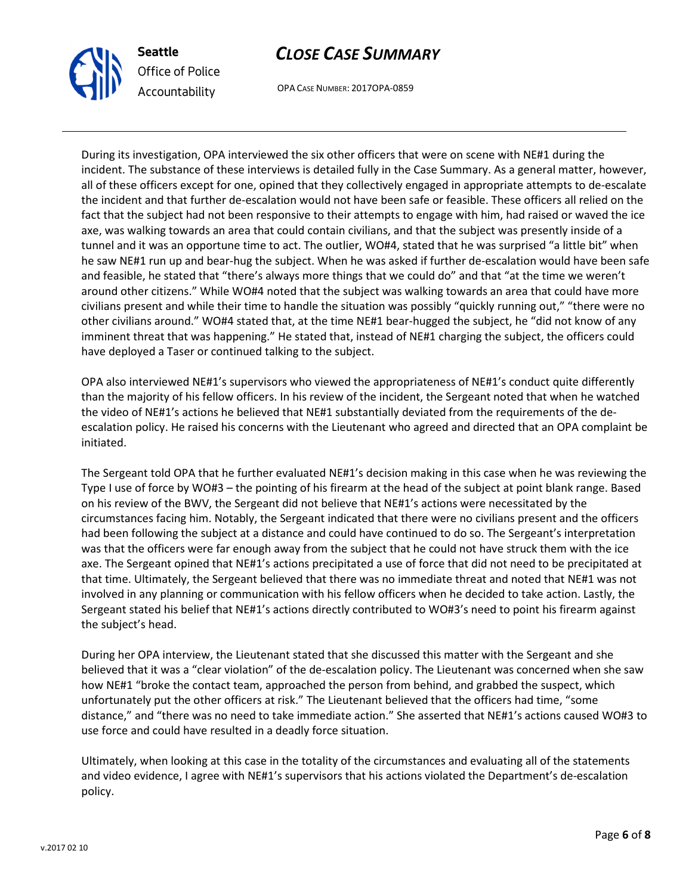

Seattle Office of Police Accountability

# CLOSE CASE SUMMARY

OPA CASE NUMBER: 2017OPA-0859

During its investigation, OPA interviewed the six other officers that were on scene with NE#1 during the incident. The substance of these interviews is detailed fully in the Case Summary. As a general matter, however, all of these officers except for one, opined that they collectively engaged in appropriate attempts to de-escalate the incident and that further de-escalation would not have been safe or feasible. These officers all relied on the fact that the subject had not been responsive to their attempts to engage with him, had raised or waved the ice axe, was walking towards an area that could contain civilians, and that the subject was presently inside of a tunnel and it was an opportune time to act. The outlier, WO#4, stated that he was surprised "a little bit" when he saw NE#1 run up and bear-hug the subject. When he was asked if further de-escalation would have been safe and feasible, he stated that "there's always more things that we could do" and that "at the time we weren't around other citizens." While WO#4 noted that the subject was walking towards an area that could have more civilians present and while their time to handle the situation was possibly "quickly running out," "there were no other civilians around." WO#4 stated that, at the time NE#1 bear-hugged the subject, he "did not know of any imminent threat that was happening." He stated that, instead of NE#1 charging the subject, the officers could have deployed a Taser or continued talking to the subject.

OPA also interviewed NE#1's supervisors who viewed the appropriateness of NE#1's conduct quite differently than the majority of his fellow officers. In his review of the incident, the Sergeant noted that when he watched the video of NE#1's actions he believed that NE#1 substantially deviated from the requirements of the deescalation policy. He raised his concerns with the Lieutenant who agreed and directed that an OPA complaint be initiated.

The Sergeant told OPA that he further evaluated NE#1's decision making in this case when he was reviewing the Type I use of force by WO#3 – the pointing of his firearm at the head of the subject at point blank range. Based on his review of the BWV, the Sergeant did not believe that NE#1's actions were necessitated by the circumstances facing him. Notably, the Sergeant indicated that there were no civilians present and the officers had been following the subject at a distance and could have continued to do so. The Sergeant's interpretation was that the officers were far enough away from the subject that he could not have struck them with the ice axe. The Sergeant opined that NE#1's actions precipitated a use of force that did not need to be precipitated at that time. Ultimately, the Sergeant believed that there was no immediate threat and noted that NE#1 was not involved in any planning or communication with his fellow officers when he decided to take action. Lastly, the Sergeant stated his belief that NE#1's actions directly contributed to WO#3's need to point his firearm against the subject's head.

During her OPA interview, the Lieutenant stated that she discussed this matter with the Sergeant and she believed that it was a "clear violation" of the de-escalation policy. The Lieutenant was concerned when she saw how NE#1 "broke the contact team, approached the person from behind, and grabbed the suspect, which unfortunately put the other officers at risk." The Lieutenant believed that the officers had time, "some distance," and "there was no need to take immediate action." She asserted that NE#1's actions caused WO#3 to use force and could have resulted in a deadly force situation.

Ultimately, when looking at this case in the totality of the circumstances and evaluating all of the statements and video evidence, I agree with NE#1's supervisors that his actions violated the Department's de-escalation policy.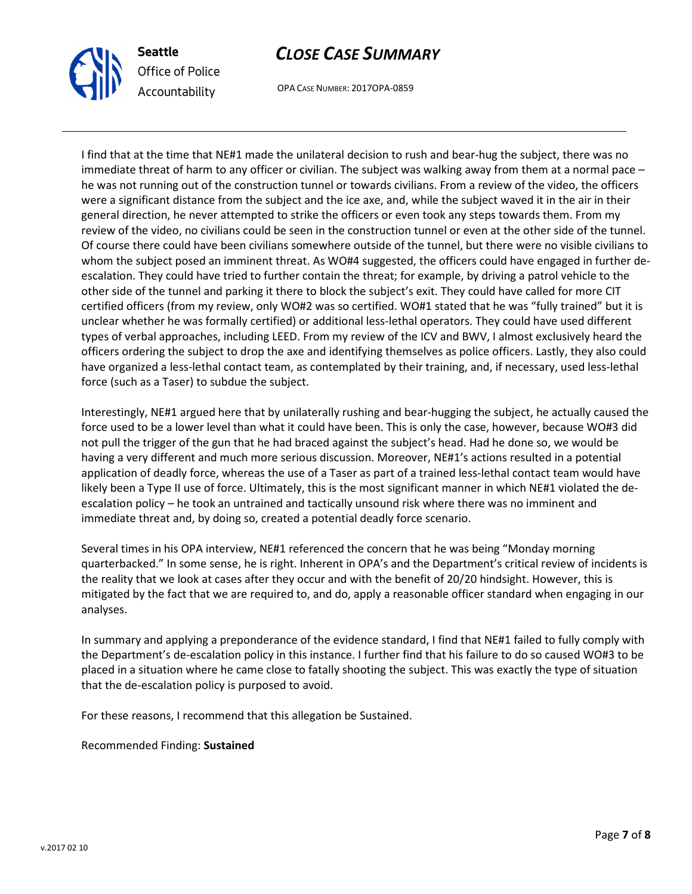

Seattle Office of Police Accountability

# CLOSE CASE SUMMARY

OPA CASE NUMBER: 2017OPA-0859

I find that at the time that NE#1 made the unilateral decision to rush and bear-hug the subject, there was no immediate threat of harm to any officer or civilian. The subject was walking away from them at a normal pace – he was not running out of the construction tunnel or towards civilians. From a review of the video, the officers were a significant distance from the subject and the ice axe, and, while the subject waved it in the air in their general direction, he never attempted to strike the officers or even took any steps towards them. From my review of the video, no civilians could be seen in the construction tunnel or even at the other side of the tunnel. Of course there could have been civilians somewhere outside of the tunnel, but there were no visible civilians to whom the subject posed an imminent threat. As WO#4 suggested, the officers could have engaged in further deescalation. They could have tried to further contain the threat; for example, by driving a patrol vehicle to the other side of the tunnel and parking it there to block the subject's exit. They could have called for more CIT certified officers (from my review, only WO#2 was so certified. WO#1 stated that he was "fully trained" but it is unclear whether he was formally certified) or additional less-lethal operators. They could have used different types of verbal approaches, including LEED. From my review of the ICV and BWV, I almost exclusively heard the officers ordering the subject to drop the axe and identifying themselves as police officers. Lastly, they also could have organized a less-lethal contact team, as contemplated by their training, and, if necessary, used less-lethal force (such as a Taser) to subdue the subject.

Interestingly, NE#1 argued here that by unilaterally rushing and bear-hugging the subject, he actually caused the force used to be a lower level than what it could have been. This is only the case, however, because WO#3 did not pull the trigger of the gun that he had braced against the subject's head. Had he done so, we would be having a very different and much more serious discussion. Moreover, NE#1's actions resulted in a potential application of deadly force, whereas the use of a Taser as part of a trained less-lethal contact team would have likely been a Type II use of force. Ultimately, this is the most significant manner in which NE#1 violated the deescalation policy – he took an untrained and tactically unsound risk where there was no imminent and immediate threat and, by doing so, created a potential deadly force scenario.

Several times in his OPA interview, NE#1 referenced the concern that he was being "Monday morning quarterbacked." In some sense, he is right. Inherent in OPA's and the Department's critical review of incidents is the reality that we look at cases after they occur and with the benefit of 20/20 hindsight. However, this is mitigated by the fact that we are required to, and do, apply a reasonable officer standard when engaging in our analyses.

In summary and applying a preponderance of the evidence standard, I find that NE#1 failed to fully comply with the Department's de-escalation policy in this instance. I further find that his failure to do so caused WO#3 to be placed in a situation where he came close to fatally shooting the subject. This was exactly the type of situation that the de-escalation policy is purposed to avoid.

For these reasons, I recommend that this allegation be Sustained.

Recommended Finding: Sustained